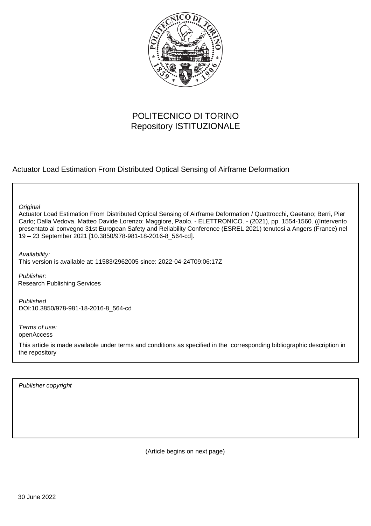

# POLITECNICO DI TORINO Repository ISTITUZIONALE

Actuator Load Estimation From Distributed Optical Sensing of Airframe Deformation

**Original** 

Actuator Load Estimation From Distributed Optical Sensing of Airframe Deformation / Quattrocchi, Gaetano; Berri, Pier Carlo; Dalla Vedova, Matteo Davide Lorenzo; Maggiore, Paolo. - ELETTRONICO. - (2021), pp. 1554-1560. ((Intervento presentato al convegno 31st European Safety and Reliability Conference (ESREL 2021) tenutosi a Angers (France) nel 19 – 23 September 2021 [10.3850/978-981-18-2016-8\_564-cd].

Availability: This version is available at: 11583/2962005 since: 2022-04-24T09:06:17Z

Publisher: Research Publishing Services

Published DOI:10.3850/978-981-18-2016-8\_564-cd

Terms of use: openAccess

This article is made available under terms and conditions as specified in the corresponding bibliographic description in the repository

Publisher copyright

(Article begins on next page)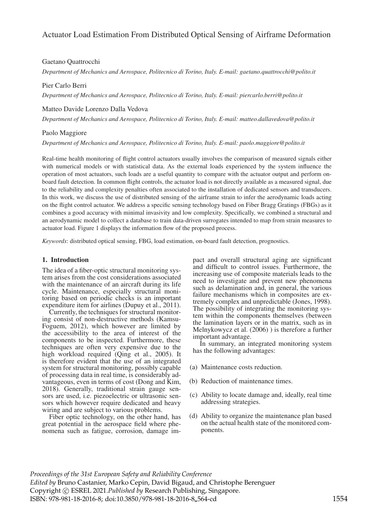## Actuator Load Estimation From Distributed Optical Sensing of Airframe Deformation

### Gaetano Quattrocchi

*Department of Mechanics and Aerospace, Politecnico di Torino, Italy. E-mail: gaetano.quattrocchi@polito.it*

### Pier Carlo Berri

*Department of Mechanics and Aerospace, Politecnico di Torino, Italy. E-mail: piercarlo.berri@polito.it*

Matteo Davide Lorenzo Dalla Vedova

*Department of Mechanics and Aerospace, Politecnico di Torino, Italy. E-mail: matteo.dallavedova@polito.it*

### Paolo Maggiore

*Department of Mechanics and Aerospace, Politecnico di Torino, Italy. E-mail: paolo.maggiore@polito.it*

Real-time health monitoring of flight control actuators usually involves the comparison of measured signals either with numerical models or with statistical data. As the external loads experienced by the system influence the operation of most actuators, such loads are a useful quantity to compare with the actuator output and perform onboard fault detection. In common flight controls, the actuator load is not directly available as a measured signal, due to the reliability and complexity penalties often associated to the installation of dedicated sensors and transducers. In this work, we discuss the use of distributed sensing of the airframe strain to infer the aerodynamic loads acting on the flight control actuator. We address a specific sensing technology based on Fiber Bragg Gratings (FBGs) as it combines a good accuracy with minimal invasivity and low complexity. Specifically, we combined a structural and an aerodynamic model to collect a database to train data-driven surrogates intended to map from strain measures to actuator load. Figure 1 displays the information flow of the proposed process.

*Keywords*: distributed optical sensing, FBG, load estimation, on-board fault detection, prognostics.

### 1. Introduction

The idea of a fiber-optic structural monitoring system arises from the cost considerations associated with the maintenance of an aircraft during its life cycle. Maintenance, especially structural monitoring based on periodic checks is an important expenditure item for airlines (Dupuy et al., 2011).

Currently, the techniques for structural monitoring consist of non-destructive methods (Kamsu-Foguem, 2012), which however are limited by the accessibility to the area of interest of the components to be inspected. Furthermore, these techniques are often very expensive due to the high workload required (Qing et al., 2005). It is therefore evident that the use of an integrated system for structural monitoring, possibly capable of processing data in real time, is considerably advantageous, even in terms of cost (Dong and Kim, 2018). Generally, traditional strain gauge sensors are used, i.e. piezoelectric or ultrasonic sensors which however require dedicated and heavy wiring and are subject to various problems.

Fiber optic technology, on the other hand, has great potential in the aerospace field where phenomena such as fatigue, corrosion, damage impact and overall structural aging are significant and difficult to control issues. Furthermore, the increasing use of composite materials leads to the need to investigate and prevent new phenomena such as delamination and, in general, the various failure mechanisms which in composites are extremely complex and unpredictable (Jones, 1998). The possibility of integrating the monitoring system within the components themselves (between the lamination layers or in the matrix, such as in Melnykowycz et al. (2006) ) is therefore a further important advantage.

In summary, an integrated monitoring system has the following advantages:

- (a) Maintenance costs reduction.
- (b) Reduction of maintenance times.
- (c) Ability to locate damage and, ideally, real time addressing strategies.
- (d) Ability to organize the maintenance plan based on the actual health state of the monitored components.

*Proceedings of the 31st European Safety and Reliability Conference Edited by* Bruno Castanier, Marko Cepin, David Bigaud, and Christophe Berenguer Copyright © ESREL 2021.*Published by* Research Publishing, Singapore. ISBN: 978-981-18-2016-8; doi:10.3850/978-981-18-2016-8 564-cd 1554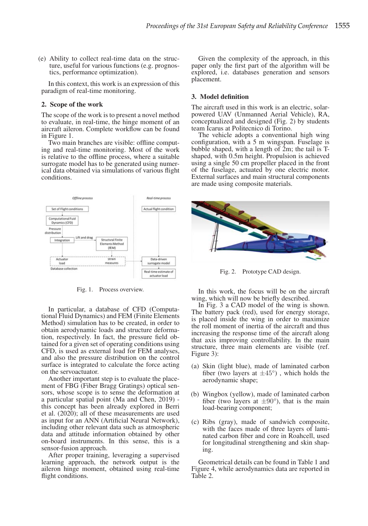(e) Ability to collect real-time data on the structure, useful for various functions (e.g. prognostics, performance optimization).

In this context, this work is an expression of this paradigm of real-time monitoring.

#### 2. Scope of the work

The scope of the work is to present a novel method to evaluate, in real-time, the hinge moment of an aircraft aileron. Complete workflow can be found in Figure 1.

Two main branches are visible: offline computing and real-time monitoring. Most of the work is relative to the offline process, where a suitable surrogate model has to be generated using numerical data obtained via simulations of various flight conditions.



Fig. 1. Process overview.

In particular, a database of CFD (Computational Fluid Dynamics) and FEM (Finite Elements Method) simulation has to be created, in order to obtain aerodynamic loads and structure deformation, respectively. In fact, the pressure field obtained for a given set of operating conditions using CFD, is used as external load for FEM analyses, and also the pressure distribution on the control surface is integrated to calculate the force acting on the servoactuator.

Another important step is to evaluate the placement of FBG (Fiber Bragg Gratings) optical sensors, whose scope is to sense the deformation at a particular spatial point (Ma and Chen, 2019) this concept has been already explored in Berri et al. (2020); all of these measurements are used as input for an ANN (Artificial Neural Network), including other relevant data such as atmospheric data and attitude information obtained by other on-board instruments. In this sense, this is a sensor-fusion approach.

After proper training, leveraging a supervised learning approach, the network output is the aileron hinge moment, obtained using real-time flight conditions.

Given the complexity of the approach, in this paper only the first part of the algorithm will be explored, i.e. databases generation and sensors placement.

### 3. Model definition

The aircraft used in this work is an electric, solarpowered UAV (Unmanned Aerial Vehicle), RA, conceptualized and designed (Fig. 2) by students team Icarus at Politecnico di Torino.

The vehicle adopts a conventional high wing configuration, with a 5 m wingspan. Fuselage is bubble shaped, with a length of  $2m$ ; the tail is Tshaped, with 0.5m height. Propulsion is achieved using a single 50 cm propeller placed in the front of the fuselage, actuated by one electric motor. External surfaces and main structural components are made using composite materials.



Fig. 2. Prototype CAD design.

In this work, the focus will be on the aircraft wing, which will now be briefly described.

In Fig. 3 a CAD model of the wing is shown. The battery pack (red), used for energy storage, is placed inside the wing in order to maximize the roll moment of inertia of the aircraft and thus increasing the response time of the aircraft along that axis improving controllability. In the main structure, three main elements are visible (ref. Figure 3):

- (a) Skin (light blue), made of laminated carbon fiber (two layers at  $\pm 45^{\circ}$ ), which holds the aerodynamic shape;
- (b) Wingbox (yellow), made of laminated carbon fiber (two layers at  $\pm 90^{\circ}$ ), that is the main load-bearing component;
- (c) Ribs (gray), made of sandwich composite, with the faces made of three layers of laminated carbon fiber and core in Roahcell, used for longitudinal strengthening and skin shaping.

Geometrical details can be found in Table 1 and Figure 4, while aerodynamics data are reported in Table 2.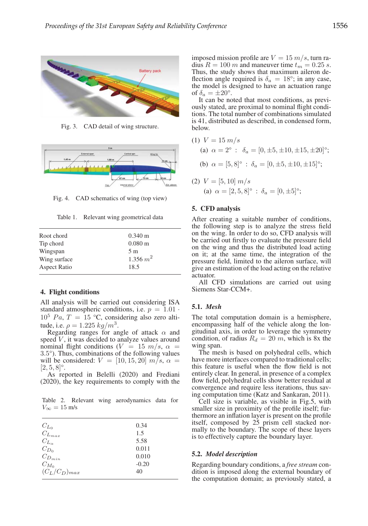

Fig. 3. CAD detail of wing structure.



Fig. 4. CAD schematics of wing (top view)

Table 1. Relevant wing geometrical data

| Root chord          | $0.340 \text{ m}$ |
|---------------------|-------------------|
| Tip chord           | $0.080 \text{ m}$ |
| Wingspan            | 5 m               |
| Wing surface        | $1.356\ m^2$      |
| <b>Aspect Ratio</b> | 18.5              |
|                     |                   |

### 4. Flight conditions

All analysis will be carried out considering ISA standard atmospheric conditions, i.e.  $p = 1.01$ .  $10^5$  Pa, T = 15 °C, considering also zero altitude, i.e.  $\rho = 1.225 \frac{kg}{m^3}$ .

Regarding ranges for angle of attack  $\alpha$  and speed  $V$ , it was decided to analyze values around nominal flight conditions ( $V = 15$  m/s,  $\alpha$  = 3.5°). Thus, combinations of the following values will be considered:  $V = [10, 15, 20]$   $m/s$ ,  $\alpha = [2, 5, 8]^\circ$ .

As reported in Belelli (2020) and Frediani (2020), the key requirements to comply with the

Table 2. Relevant wing aerodynamics data for  $V_{\infty} = 15 \text{ m/s}$ 

|                                                                     | 0.34    |
|---------------------------------------------------------------------|---------|
| $\frac{C_{L_0}}{C_{L_{max}}}$                                       | 1.5     |
|                                                                     | 5.58    |
|                                                                     | 0.011   |
| $\begin{array}{c} C_{L_\alpha}\\ C_{D_0}\\ C_{D_{min}} \end{array}$ | 0.010   |
| $C_{M_0}$                                                           | $-0.20$ |
| $(C_L/C_D)_{max}$                                                   | 40      |
|                                                                     |         |

imposed mission profile are  $V = 15$  m/s, turn radius  $R = 100$  m and maneuver time  $t_m = 0.25$  s. Thus, the study shows that maximum aileron deflection angle required is  $\delta_a = 18^\circ$ ; in any case, the model is designed to have an actuation range of  $\delta_a = \pm 20^\circ$ .

It can be noted that most conditions, as previously stated, are proximal to nominal flight conditions. The total number of combinations simulated is 41, distributed as described, in condensed form, below.

(1) 
$$
V = 15 \, m/s
$$
  
\n(a)  $\alpha = 2^{\circ} : \delta_a = [0, \pm 5, \pm 10, \pm 15, \pm 20]^{\circ};$   
\n(b)  $\alpha = [5, 8]^{\circ} : \delta_a = [0, \pm 5, \pm 10, \pm 15]^{\circ};$ 

(2) 
$$
V = [5, 10] m/s
$$
  
\n(a)  $\alpha = [2, 5, 8]^{\circ}$ :  $\delta_a = [0, \pm 5]^{\circ}$ ;

### 5. CFD analysis

After creating a suitable number of conditions, the following step is to analyze the stress field on the wing. In order to do so, CFD analysis will be carried out firstly to evaluate the pressure field on the wing and thus the distributed load acting on it; at the same time, the integration of the pressure field, limited to the aileron surface, will give an estimation of the load acting on the relative actuator.

All CFD simulations are carried out using Siemens Star-CCM+.

### 5.1. *Mesh*

The total computation domain is a hemisphere, encompassing half of the vehicle along the longitudinal axis, in order to leverage the symmetry condition, of radius  $R_d = 20$  m, which is 8x the wing span.

The mesh is based on polyhedral cells, which have more interfaces compared to traditional cells; this feature is useful when the flow field is not entirely clear. In general, in presence of a complex flow field, polyhedral cells show better residual at convergence and require less iterations, thus saving computation time (Katz and Sankaran, 2011).

Cell size is variable, as visible in Fig.5, with smaller size in proximity of the profile itself; furthermore an inflation layer is present on the profile itself, composed by 25 prism cell stacked normally to the boundary. The scope of these layers is to effectively capture the boundary layer.

### 5.2. *Model description*

Regarding boundary conditions, a *free stream* condition is imposed along the external boundary of the computation domain; as previously stated, a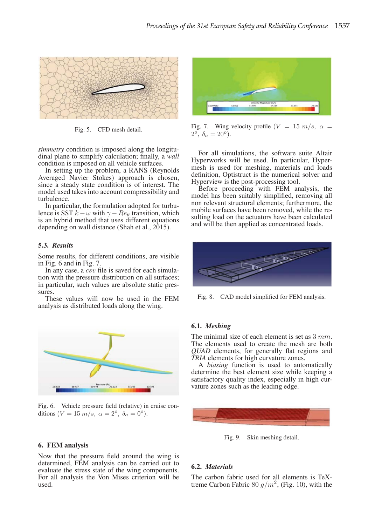

Fig. 5. CFD mesh detail.

*simmetry* condition is imposed along the longitudinal plane to simplify calculation; finally, a *wall* condition is imposed on all vehicle surfaces.

In setting up the problem, a RANS (Reynolds Averaged Navier Stokes) approach is chosen, since a steady state condition is of interest. The model used takes into account compressibility and turbulence.

In particular, the formulation adopted for turbulence is SST  $k - \omega$  with  $\gamma - Re_{\theta}$  transition, which is an hybrid method that uses different equations depending on wall distance (Shah et al., 2015).

### 5.3. *Results*

Some results, for different conditions, are visible in Fig. 6 and in Fig. 7.

In any case, a  $\overline{csv}$  file is saved for each simulation with the pressure distribution on all surfaces; in particular, such values are absolute static pres-

These values will now be used in the FEM analysis as distributed loads along the wing.



Fig. 6. Vehicle pressure field (relative) in cruise conditions  $(V = 15 \text{ m/s}, \ \alpha = 2^{\circ}, \ \delta_a = 0^{\circ}).$ 

### 6. FEM analysis

Now that the pressure field around the wing is determined, FEM analysis can be carried out to evaluate the stress state of the wing components. For all analysis the Von Mises criterion will be used.



Fig. 7. Wing velocity profile  $(V = 15 \ m/s, \ \alpha =$  $2^{\circ}$ ,  $\delta_{\alpha} = 20^{\circ}$ ).

For all simulations, the software suite Altair Hyperworks will be used. In particular, Hypermesh is used for meshing, materials and loads definition, Optistruct is the numerical solver and Hyperview is the post-processing tool.

Before proceeding with FEM analysis, the model has been suitably simplified, removing all non relevant structural elements; furthermore, the mobile surfaces have been removed, while the resulting load on the actuators have been calculated and will be then applied as concentrated loads.



Fig. 8. CAD model simplified for FEM analysis.

### 6.1. *Meshing*

The minimal size of each element is set as  $3 \, mm$ .<br>The elements used to create the mesh are both *QUAD* elements, for generally flat regions and *TRIA* elements for high curvature zones.

A *biasing* function is used to automatically determine the best element size while keeping a satisfactory quality index, especially in high curvature zones such as the leading edge.



Fig. 9. Skin meshing detail.

### 6.2. *Materials*

The carbon fabric used for all elements is TeXtreme Carbon Fabric 80  $g/m^2$ , (Fig. 10), with the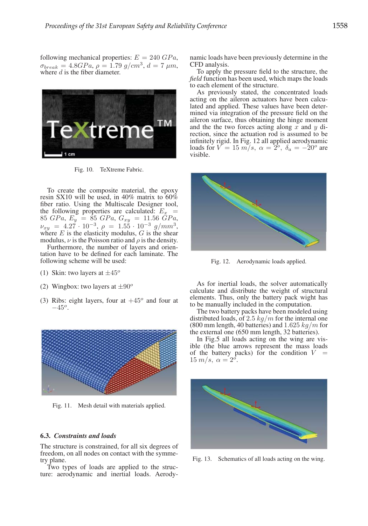following mechanical properties:  $E = 240 \text{ GPa}$ ,  $\sigma_{break} = 4.8GPa$ ,  $\rho = 1.79$  g/cm<sup>3</sup>,  $d = 7 \mu m$ , where d is the fiber diameter.



Fig. 10. TeXtreme Fabric.

To create the composite material, the epoxy resin SX10 will be used, in 40% matrix to  $60\%$ fiber ratio. Using the Multiscale Designer tool, the following properties are calculated:  $E_x$  = 85 GPa,  $E_y = \hat{85}$  GPa,  $G_{xy} = 11.56$  GPa,  $\nu_{xy} = 4.27 \cdot 10^{-3}, \rho = 1.55 \cdot 10^{-3} \frac{g}{mm^3},$  where *E* is the elasticity modulus, *G* is the shear modulus,  $\nu$  is the Poisson ratio and  $\rho$  is the density.

Furthermore, the number of layers and orientation have to be defined for each laminate. The following scheme will be used:

- (1) Skin: two layers at  $\pm 45^\circ$
- (2) Wingbox: two layers at  $\pm 90^\circ$
- (3) Ribs: eight layers, four at  $+45^{\circ}$  and four at  $-45^o$ .



Fig. 11. Mesh detail with materials applied.

### 6.3. *Constraints and loads*

The structure is constrained, for all six degrees of freedom, on all nodes on contact with the symmetry plane.

Two types of loads are applied to the structure: aerodynamic and inertial loads. Aerodynamic loads have been previously determine in the CFD analysis.

To apply the pressure field to the structure, the *field* function has been used, which maps the loads to each element of the structure.

As previously stated, the concentrated loads acting on the aileron actuators have been calculated and applied. These values have been determined via integration of the pressure field on the aileron surface, thus obtaining the hinge moment and the the two forces acting along  $x$  and  $y$  direction, since the actuation rod is assumed to be infinitely rigid. In Fig. 12 all applied aerodynamic loads for  $V = 15 \frac{m}{s}$ ,  $\alpha = 2^{\circ}$ ,  $\delta_a = -20^{\circ}$  are visible.



Fig. 12. Aerodynamic loads applied.

As for inertial loads, the solver automatically calculate and distribute the weight of structural elements. Thus, only the battery pack wight has to be manually included in the computation.

The two battery packs have been modeled using distributed loads, of 2.5  $kg/m$  for the internal one (800 mm length, 40 batteries) and  $1.625 kg/m$  for the external one (650 mm length, 32 batteries).

In Fig.5 all loads acting on the wing are visible (the blue arrows represent the mass loads of the battery packs) for the condition  $V = 15 \frac{m}{s}$ ,  $\alpha = 2^o$ .



Fig. 13. Schematics of all loads acting on the wing.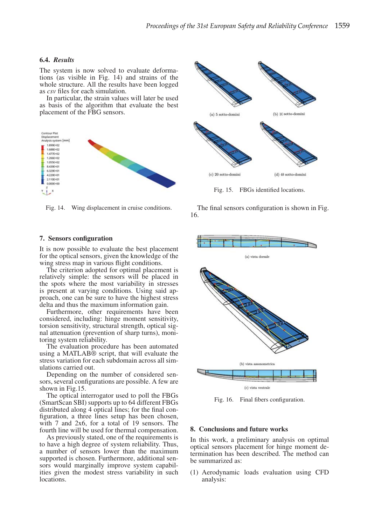### 6.4. *Results*

The system is now solved to evaluate deformations (as visible in Fig. 14) and strains of the whole structure. All the results have been logged as *csv* files for each simulation.

In particular, the strain values will later be used as basis of the algorithm that evaluate the best placement of the FBG sensors.



Fig. 14. Wing displacement in cruise conditions.

### 7. Sensors configuration

It is now possible to evaluate the best placement for the optical sensors, given the knowledge of the wing stress map in various flight conditions.

The criterion adopted for optimal placement is relatively simple: the sensors will be placed in the spots where the most variability in stresses is present at varying conditions. Using said approach, one can be sure to have the highest stress delta and thus the maximum information gain.

Furthermore, other requirements have been considered, including: hinge moment sensitivity, torsion sensitivity, structural strength, optical signal attenuation (prevention of sharp turns), monitoring system reliability.

The evaluation procedure has been automated using a MATLAB® script, that will evaluate the stress variation for each subdomain across all simulations carried out.

Depending on the number of considered sensors, several configurations are possible. A few are shown in Fig.15.

The optical interrogator used to poll the FBGs (SmartScan SBI) supports up to 64 different FBGs distributed along 4 optical lines; for the final configuration, a three lines setup has been chosen, with 7 and 2x6, for a total of 19 sensors. The fourth line will be used for thermal compensation.

As previously stated, one of the requirements is to have a high degree of system reliability. Thus, a number of sensors lower than the maximum supported is chosen. Furthermore, additional sensors would marginally improve system capabilities given the modest stress variability in such locations.



Fig. 15. FBGs identified locations.

The final sensors configuration is shown in Fig. 16.



Fig. 16. Final fibers configuration.

### 8. Conclusions and future works

In this work, a preliminary analysis on optimal optical sensors placement for hinge moment determination has been described. The method can be summarized as:

(1) Aerodynamic loads evaluation using CFD analysis: